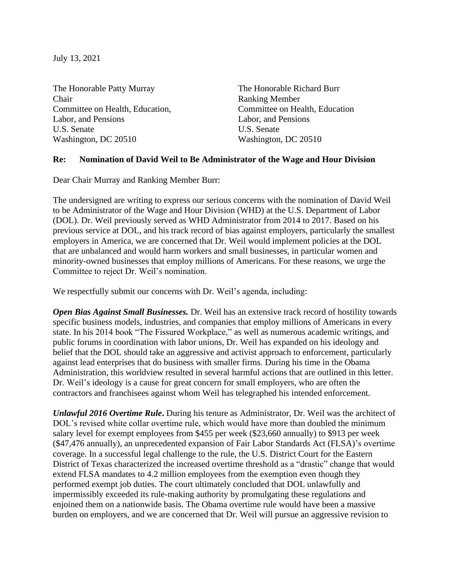July 13, 2021

The Honorable Patty Murray The Honorable Richard Burr Chair Ranking Member Committee on Health, Education, Committee on Health, Education Labor, and Pensions Labor, and Pensions U.S. Senate U.S. Senate Washington, DC 20510 Washington, DC 20510

## **Re: Nomination of David Weil to Be Administrator of the Wage and Hour Division**

Dear Chair Murray and Ranking Member Burr:

The undersigned are writing to express our serious concerns with the nomination of David Weil to be Administrator of the Wage and Hour Division (WHD) at the U.S. Department of Labor (DOL). Dr. Weil previously served as WHD Administrator from 2014 to 2017. Based on his previous service at DOL, and his track record of bias against employers, particularly the smallest employers in America, we are concerned that Dr. Weil would implement policies at the DOL that are unbalanced and would harm workers and small businesses, in particular women and minority-owned businesses that employ millions of Americans. For these reasons, we urge the Committee to reject Dr. Weil's nomination.

We respectfully submit our concerns with Dr. Weil's agenda, including:

*Open Bias Against Small Businesses.* Dr. Weil has an extensive track record of hostility towards specific business models, industries, and companies that employ millions of Americans in every state. In his 2014 book "The Fissured Workplace," as well as numerous academic writings, and public forums in coordination with labor unions, Dr. Weil has expanded on his ideology and belief that the DOL should take an aggressive and activist approach to enforcement, particularly against lead enterprises that do business with smaller firms. During his time in the Obama Administration, this worldview resulted in several harmful actions that are outlined in this letter. Dr. Weil's ideology is a cause for great concern for small employers, who are often the contractors and franchisees against whom Weil has telegraphed his intended enforcement.

*Unlawful 2016 Overtime Rule***.** During his tenure as Administrator, Dr. Weil was the architect of DOL's revised white collar overtime rule, which would have more than doubled the minimum salary level for exempt employees from \$455 per week (\$23,660 annually) to \$913 per week (\$47,476 annually), an unprecedented expansion of Fair Labor Standards Act (FLSA)'s overtime coverage. In a successful legal challenge to the rule, the U.S. District Court for the Eastern District of Texas characterized the increased overtime threshold as a "drastic" change that would extend FLSA mandates to 4.2 million employees from the exemption even though they performed exempt job duties. The court ultimately concluded that DOL unlawfully and impermissibly exceeded its rule-making authority by promulgating these regulations and enjoined them on a nationwide basis. The Obama overtime rule would have been a massive burden on employers, and we are concerned that Dr. Weil will pursue an aggressive revision to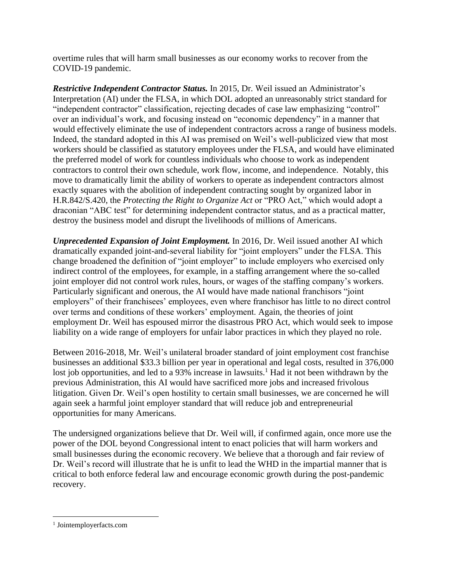overtime rules that will harm small businesses as our economy works to recover from the COVID-19 pandemic.

*Restrictive Independent Contractor Status.* In 2015, Dr. Weil issued an Administrator's Interpretation (AI) under the FLSA, in which DOL adopted an unreasonably strict standard for "independent contractor" classification, rejecting decades of case law emphasizing "control" over an individual's work, and focusing instead on "economic dependency" in a manner that would effectively eliminate the use of independent contractors across a range of business models. Indeed, the standard adopted in this AI was premised on Weil's well-publicized view that most workers should be classified as statutory employees under the FLSA, and would have eliminated the preferred model of work for countless individuals who choose to work as independent contractors to control their own schedule, work flow, income, and independence. Notably, this move to dramatically limit the ability of workers to operate as independent contractors almost exactly squares with the abolition of independent contracting sought by organized labor in H.R.842/S.420, the *Protecting the Right to Organize Act* or "PRO Act," which would adopt a draconian "ABC test" for determining independent contractor status, and as a practical matter, destroy the business model and disrupt the livelihoods of millions of Americans.

*Unprecedented Expansion of Joint Employment.* In 2016, Dr. Weil issued another AI which dramatically expanded joint-and-several liability for "joint employers" under the FLSA. This change broadened the definition of "joint employer" to include employers who exercised only indirect control of the employees, for example, in a staffing arrangement where the so-called joint employer did not control work rules, hours, or wages of the staffing company's workers. Particularly significant and onerous, the AI would have made national franchisors "joint employers" of their franchisees' employees, even where franchisor has little to no direct control over terms and conditions of these workers' employment. Again, the theories of joint employment Dr. Weil has espoused mirror the disastrous PRO Act, which would seek to impose liability on a wide range of employers for unfair labor practices in which they played no role.

Between 2016-2018, Mr. Weil's unilateral broader standard of joint employment cost franchise businesses an additional \$33.3 billion per year in operational and legal costs, resulted in 376,000 lost job opportunities, and led to a 93% increase in lawsuits.<sup>1</sup> Had it not been withdrawn by the previous Administration, this AI would have sacrificed more jobs and increased frivolous litigation. Given Dr. Weil's open hostility to certain small businesses, we are concerned he will again seek a harmful joint employer standard that will reduce job and entrepreneurial opportunities for many Americans.

The undersigned organizations believe that Dr. Weil will, if confirmed again, once more use the power of the DOL beyond Congressional intent to enact policies that will harm workers and small businesses during the economic recovery. We believe that a thorough and fair review of Dr. Weil's record will illustrate that he is unfit to lead the WHD in the impartial manner that is critical to both enforce federal law and encourage economic growth during the post-pandemic recovery.

<sup>1</sup> Jointemployerfacts.com